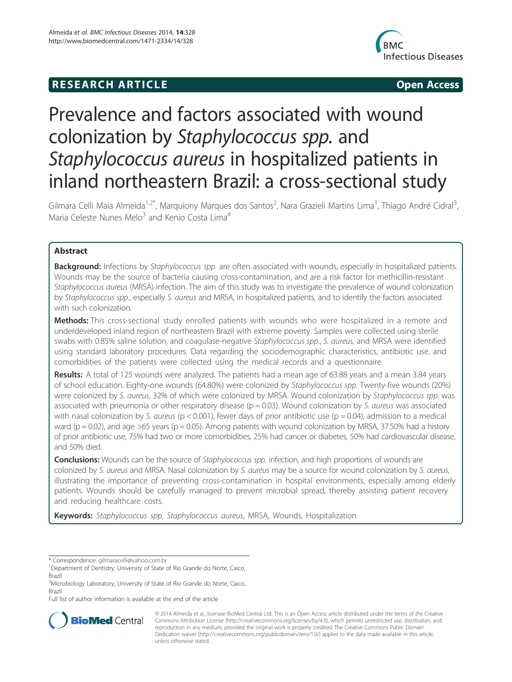# **RESEARCH ARTICLE Example 2014 12:30 The SEAR CHA RESEARCH ARTICLE**



# Prevalence and factors associated with wound colonization by Staphylococcus spp. and Staphylococcus aureus in hospitalized patients in inland northeastern Brazil: a cross-sectional study

Gilmara Celli Maia Almeida<sup>1,2\*</sup>, Marquiony Marques dos Santos<sup>2</sup>, Nara Grazieli Martins Lima<sup>1</sup>, Thiago André Cidral<sup>3</sup> , Maria Celeste Nunes Melo<sup>3</sup> and Kenio Costa Lima<sup>4</sup>

# Abstract

Background: Infections by Staphylococcus spp. are often associated with wounds, especially in hospitalized patients. Wounds may be the source of bacteria causing cross-contamination, and are a risk factor for methicillin-resistant Staphylococcus aureus (MRSA) infection. The aim of this study was to investigate the prevalence of wound colonization by Staphylococcus spp., especially S. aureus and MRSA, in hospitalized patients, and to identify the factors associated with such colonization.

Methods: This cross-sectional study enrolled patients with wounds who were hospitalized in a remote and underdeveloped inland region of northeastern Brazil with extreme poverty. Samples were collected using sterile swabs with 0.85% saline solution, and coagulase-negative Staphylococcus spp., S. aureus, and MRSA were identified using standard laboratory procedures. Data regarding the sociodemographic characteristics, antibiotic use, and comorbidities of the patients were collected using the medical records and a questionnaire.

Results: A total of 125 wounds were analyzed. The patients had a mean age of 63.88 years and a mean 3.84 years of school education. Eighty-one wounds (64.80%) were colonized by Staphylococcus spp. Twenty-five wounds (20%) were colonized by S. aureus, 32% of which were colonized by MRSA. Wound colonization by Staphylococcus spp. was associated with pneumonia or other respiratory disease ( $p = 0.03$ ). Wound colonization by S. aureus was associated with nasal colonization by S. aureus ( $p < 0.001$ ), fewer days of prior antibiotic use ( $p = 0.04$ ), admission to a medical ward ( $p = 0.02$ ), and age >65 years ( $p = 0.05$ ). Among patients with wound colonization by MRSA, 37.50% had a history of prior antibiotic use, 75% had two or more comorbidities, 25% had cancer or diabetes, 50% had cardiovascular disease, and 50% died.

**Conclusions:** Wounds can be the source of Staphylococcus spp. infection, and high proportions of wounds are colonized by S. aureus and MRSA. Nasal colonization by S. aureus may be a source for wound colonization by S. aureus, illustrating the importance of preventing cross-contamination in hospital environments, especially among elderly patients. Wounds should be carefully managed to prevent microbial spread, thereby assisting patient recovery and reducing healthcare costs.

**Keywords:** Staphylococcus spp, Staphylococcus aureus, MRSA, Wounds, Hospitalization

Full list of author information is available at the end of the article



<sup>© 2014</sup> Almeida et al.; licensee BioMed Central Ltd. This is an Open Access article distributed under the terms of the Creative Commons Attribution License (http://creativecommons.org/licenses/by/4.0), which permits unrestricted use, distribution, and reproduction in any medium, provided the original work is properly credited. The Creative Commons Public Domain Dedication waiver (http://creativecommons.org/publicdomain/zero/1.0/) applies to the data made available in this article, unless otherwise stated.

<sup>\*</sup> Correspondence: gilmaracelli@yahoo.com.br <sup>1</sup>

<sup>&</sup>lt;sup>1</sup>Department of Dentistry, University of State of Rio Grande do Norte, Caico, Brazil

<sup>&</sup>lt;sup>2</sup>Microbiology Laboratory, University of State of Rio Grande do Norte, Caico, Brazil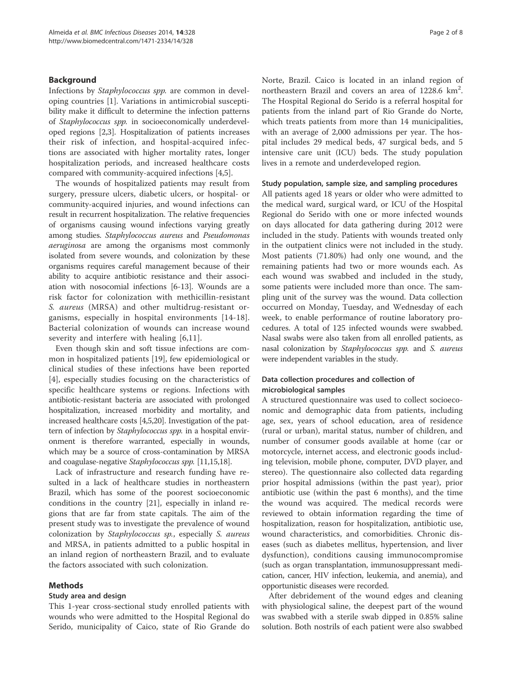# Background

Infections by Staphylococcus spp. are common in developing countries [1]. Variations in antimicrobial susceptibility make it difficult to determine the infection patterns of Staphylococcus spp. in socioeconomically underdeveloped regions [2,3]. Hospitalization of patients increases their risk of infection, and hospital-acquired infections are associated with higher mortality rates, longer hospitalization periods, and increased healthcare costs compared with community-acquired infections [4,5].

The wounds of hospitalized patients may result from surgery, pressure ulcers, diabetic ulcers, or hospital- or community-acquired injuries, and wound infections can result in recurrent hospitalization. The relative frequencies of organisms causing wound infections varying greatly among studies. Staphylococcus aureus and Pseudomonas aeruginosa are among the organisms most commonly isolated from severe wounds, and colonization by these organisms requires careful management because of their ability to acquire antibiotic resistance and their association with nosocomial infections [6-13]. Wounds are a risk factor for colonization with methicillin-resistant S. aureus (MRSA) and other multidrug-resistant organisms, especially in hospital environments [14-18]. Bacterial colonization of wounds can increase wound severity and interfere with healing [6,11].

Even though skin and soft tissue infections are common in hospitalized patients [19], few epidemiological or clinical studies of these infections have been reported [4], especially studies focusing on the characteristics of specific healthcare systems or regions. Infections with antibiotic-resistant bacteria are associated with prolonged hospitalization, increased morbidity and mortality, and increased healthcare costs [4,5,20]. Investigation of the pattern of infection by Staphylococcus spp. in a hospital environment is therefore warranted, especially in wounds, which may be a source of cross-contamination by MRSA and coagulase-negative Staphylococcus spp. [11,15,18].

Lack of infrastructure and research funding have resulted in a lack of healthcare studies in northeastern Brazil, which has some of the poorest socioeconomic conditions in the country [21], especially in inland regions that are far from state capitals. The aim of the present study was to investigate the prevalence of wound colonization by Staphylococcus sp., especially S. aureus and MRSA, in patients admitted to a public hospital in an inland region of northeastern Brazil, and to evaluate the factors associated with such colonization.

# Methods

# Study area and design

This 1-year cross-sectional study enrolled patients with wounds who were admitted to the Hospital Regional do Serido, municipality of Caico, state of Rio Grande do Norte, Brazil. Caico is located in an inland region of northeastern Brazil and covers an area of 1228.6 km<sup>2</sup>. The Hospital Regional do Serido is a referral hospital for patients from the inland part of Rio Grande do Norte, which treats patients from more than 14 municipalities, with an average of 2,000 admissions per year. The hospital includes 29 medical beds, 47 surgical beds, and 5 intensive care unit (ICU) beds. The study population lives in a remote and underdeveloped region.

#### Study population, sample size, and sampling procedures

All patients aged 18 years or older who were admitted to the medical ward, surgical ward, or ICU of the Hospital Regional do Serido with one or more infected wounds on days allocated for data gathering during 2012 were included in the study. Patients with wounds treated only in the outpatient clinics were not included in the study. Most patients (71.80%) had only one wound, and the remaining patients had two or more wounds each. As each wound was swabbed and included in the study, some patients were included more than once. The sampling unit of the survey was the wound. Data collection occurred on Monday, Tuesday, and Wednesday of each week, to enable performance of routine laboratory procedures. A total of 125 infected wounds were swabbed. Nasal swabs were also taken from all enrolled patients, as nasal colonization by Staphylococcus spp. and S. aureus were independent variables in the study.

# Data collection procedures and collection of microbiological samples

A structured questionnaire was used to collect socioeconomic and demographic data from patients, including age, sex, years of school education, area of residence (rural or urban), marital status, number of children, and number of consumer goods available at home (car or motorcycle, internet access, and electronic goods including television, mobile phone, computer, DVD player, and stereo). The questionnaire also collected data regarding prior hospital admissions (within the past year), prior antibiotic use (within the past 6 months), and the time the wound was acquired. The medical records were reviewed to obtain information regarding the time of hospitalization, reason for hospitalization, antibiotic use, wound characteristics, and comorbidities. Chronic diseases (such as diabetes mellitus, hypertension, and liver dysfunction), conditions causing immunocompromise (such as organ transplantation, immunosuppressant medication, cancer, HIV infection, leukemia, and anemia), and opportunistic diseases were recorded.

After debridement of the wound edges and cleaning with physiological saline, the deepest part of the wound was swabbed with a sterile swab dipped in 0.85% saline solution. Both nostrils of each patient were also swabbed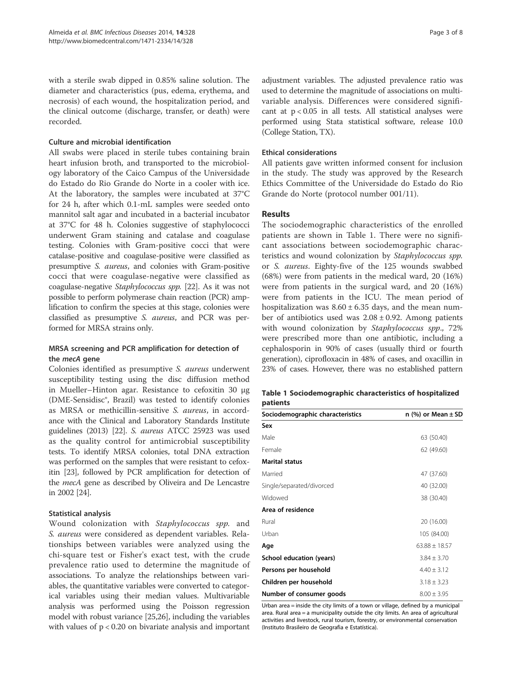with a sterile swab dipped in 0.85% saline solution. The diameter and characteristics (pus, edema, erythema, and necrosis) of each wound, the hospitalization period, and the clinical outcome (discharge, transfer, or death) were recorded.

#### Culture and microbial identification

All swabs were placed in sterile tubes containing brain heart infusion broth, and transported to the microbiology laboratory of the Caico Campus of the Universidade do Estado do Rio Grande do Norte in a cooler with ice. At the laboratory, the samples were incubated at 37°C for 24 h, after which 0.1-mL samples were seeded onto mannitol salt agar and incubated in a bacterial incubator at 37°C for 48 h. Colonies suggestive of staphylococci underwent Gram staining and catalase and coagulase testing. Colonies with Gram-positive cocci that were catalase-positive and coagulase-positive were classified as presumptive S. aureus, and colonies with Gram-positive cocci that were coagulase-negative were classified as coagulase-negative Staphylococcus spp. [22]. As it was not possible to perform polymerase chain reaction (PCR) amplification to confirm the species at this stage, colonies were classified as presumptive S. aureus, and PCR was performed for MRSA strains only.

# MRSA screening and PCR amplification for detection of the mecA gene

Colonies identified as presumptive S. aureus underwent susceptibility testing using the disc diffusion method in Mueller–Hinton agar. Resistance to cefoxitin 30 μg (DME-Sensidisc®, Brazil) was tested to identify colonies as MRSA or methicillin-sensitive S. aureus, in accordance with the Clinical and Laboratory Standards Institute guidelines (2013) [22]. S. aureus ATCC 25923 was used as the quality control for antimicrobial susceptibility tests. To identify MRSA colonies, total DNA extraction was performed on the samples that were resistant to cefoxitin [23], followed by PCR amplification for detection of the *mecA* gene as described by Oliveira and De Lencastre in 2002 [24].

# Statistical analysis

Wound colonization with Staphylococcus spp. and S. aureus were considered as dependent variables. Relationships between variables were analyzed using the chi-square test or Fisher's exact test, with the crude prevalence ratio used to determine the magnitude of associations. To analyze the relationships between variables, the quantitative variables were converted to categorical variables using their median values. Multivariable analysis was performed using the Poisson regression model with robust variance [25,26], including the variables with values of p < 0.20 on bivariate analysis and important

adjustment variables. The adjusted prevalence ratio was used to determine the magnitude of associations on multivariable analysis. Differences were considered significant at  $p < 0.05$  in all tests. All statistical analyses were performed using Stata statistical software, release 10.0 (College Station, TX).

#### Ethical considerations

All patients gave written informed consent for inclusion in the study. The study was approved by the Research Ethics Committee of the Universidade do Estado do Rio Grande do Norte (protocol number 001/11).

#### Results

The sociodemographic characteristics of the enrolled patients are shown in Table 1. There were no significant associations between sociodemographic characteristics and wound colonization by Staphylococcus spp. or S. aureus. Eighty-five of the 125 wounds swabbed (68%) were from patients in the medical ward, 20 (16%) were from patients in the surgical ward, and 20 (16%) were from patients in the ICU. The mean period of hospitalization was  $8.60 \pm 6.35$  days, and the mean number of antibiotics used was  $2.08 \pm 0.92$ . Among patients with wound colonization by Staphylococcus spp., 72% were prescribed more than one antibiotic, including a cephalosporin in 90% of cases (usually third or fourth generation), ciprofloxacin in 48% of cases, and oxacillin in 23% of cases. However, there was no established pattern

|          | Table 1 Sociodemographic characteristics of hospitalized |  |  |
|----------|----------------------------------------------------------|--|--|
| patients |                                                          |  |  |

| Sociodemographic characteristics | n $(\%)$ or Mean $\pm$ SD |  |  |  |
|----------------------------------|---------------------------|--|--|--|
| Sex                              |                           |  |  |  |
| Male                             | 63 (50.40)                |  |  |  |
| Female                           | 62 (49.60)                |  |  |  |
| <b>Marital status</b>            |                           |  |  |  |
| Married                          | 47 (37.60)                |  |  |  |
| Single/separated/divorced        | 40 (32.00)                |  |  |  |
| Widowed                          | 38 (30.40)                |  |  |  |
| Area of residence                |                           |  |  |  |
| Rural                            | 20 (16.00)                |  |  |  |
| Urban                            | 105 (84.00)               |  |  |  |
| Age                              | $63.88 \pm 18.57$         |  |  |  |
| School education (years)         | $3.84 \pm 3.70$           |  |  |  |
| Persons per household            | $4.40 \pm 3.12$           |  |  |  |
| Children per household           | $3.18 \pm 3.23$           |  |  |  |
| Number of consumer goods         | $8.00 \pm 3.95$           |  |  |  |

Urban area = inside the city limits of a town or village, defined by a municipal area. Rural area = a municipality outside the city limits. An area of agricultural activities and livestock, rural tourism, forestry, or environmental conservation (Instituto Brasileiro de Geografia e Estatística).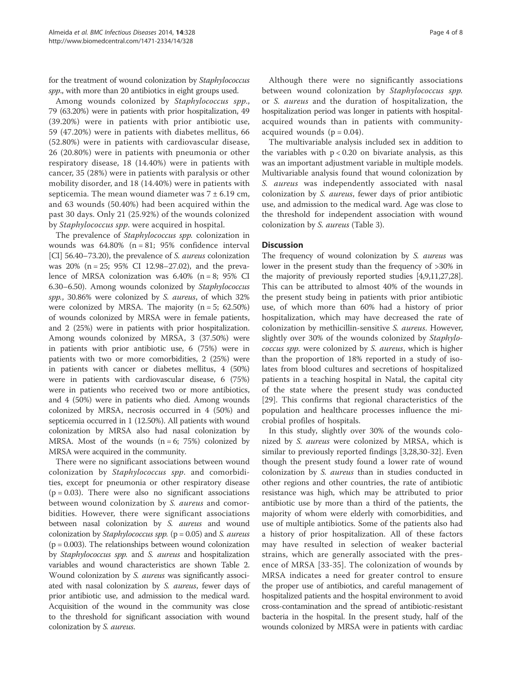for the treatment of wound colonization by Staphylococcus spp., with more than 20 antibiotics in eight groups used.

Among wounds colonized by Staphylococcus spp., 79 (63.20%) were in patients with prior hospitalization, 49 (39.20%) were in patients with prior antibiotic use, 59 (47.20%) were in patients with diabetes mellitus, 66 (52.80%) were in patients with cardiovascular disease, 26 (20.80%) were in patients with pneumonia or other respiratory disease, 18 (14.40%) were in patients with cancer, 35 (28%) were in patients with paralysis or other mobility disorder, and 18 (14.40%) were in patients with septicemia. The mean wound diameter was  $7 \pm 6.19$  cm, and 63 wounds (50.40%) had been acquired within the past 30 days. Only 21 (25.92%) of the wounds colonized by Staphylococcus spp. were acquired in hospital.

The prevalence of *Staphylococcus spp.* colonization in wounds was 64.80% (n = 81; 95% confidence interval [CI] 56.40–73.20), the prevalence of *S. aureus* colonization was 20% (n = 25; 95% CI 12.98–27.02), and the prevalence of MRSA colonization was  $6.40\%$  (n = 8; 95% CI 6.30–6.50). Among wounds colonized by Staphylococcus spp., 30.86% were colonized by S. aureus, of which 32% were colonized by MRSA. The majority  $(n = 5; 62.50%)$ of wounds colonized by MRSA were in female patients, and 2 (25%) were in patients with prior hospitalization. Among wounds colonized by MRSA, 3 (37.50%) were in patients with prior antibiotic use, 6 (75%) were in patients with two or more comorbidities, 2 (25%) were in patients with cancer or diabetes mellitus, 4 (50%) were in patients with cardiovascular disease, 6 (75%) were in patients who received two or more antibiotics, and 4 (50%) were in patients who died. Among wounds colonized by MRSA, necrosis occurred in 4 (50%) and septicemia occurred in 1 (12.50%). All patients with wound colonization by MRSA also had nasal colonization by MRSA. Most of the wounds  $(n = 6; 75%)$  colonized by MRSA were acquired in the community.

There were no significant associations between wound colonization by Staphylococcus spp. and comorbidities, except for pneumonia or other respiratory disease  $(p = 0.03)$ . There were also no significant associations between wound colonization by *S. aureus* and comorbidities. However, there were significant associations between nasal colonization by S. aureus and wound colonization by *Staphylococcus spp*. ( $p = 0.05$ ) and *S. aureus*  $(p = 0.003)$ . The relationships between wound colonization by Staphylococcus spp. and S. aureus and hospitalization variables and wound characteristics are shown Table 2. Wound colonization by S. aureus was significantly associated with nasal colonization by *S. aureus*, fewer days of prior antibiotic use, and admission to the medical ward. Acquisition of the wound in the community was close to the threshold for significant association with wound colonization by S. aureus.

Although there were no significantly associations between wound colonization by Staphylococcus spp. or S. aureus and the duration of hospitalization, the hospitalization period was longer in patients with hospitalacquired wounds than in patients with communityacquired wounds  $(p = 0.04)$ .

The multivariable analysis included sex in addition to the variables with  $p < 0.20$  on bivariate analysis, as this was an important adjustment variable in multiple models. Multivariable analysis found that wound colonization by S. aureus was independently associated with nasal colonization by S. aureus, fewer days of prior antibiotic use, and admission to the medical ward. Age was close to the threshold for independent association with wound colonization by S. aureus (Table 3).

#### **Discussion**

The frequency of wound colonization by S. aureus was lower in the present study than the frequency of >30% in the majority of previously reported studies [4,9,11,27,28]. This can be attributed to almost 40% of the wounds in the present study being in patients with prior antibiotic use, of which more than 60% had a history of prior hospitalization, which may have decreased the rate of colonization by methicillin-sensitive S. aureus. However, slightly over 30% of the wounds colonized by Staphylococcus spp. were colonized by S. aureus, which is higher than the proportion of 18% reported in a study of isolates from blood cultures and secretions of hospitalized patients in a teaching hospital in Natal, the capital city of the state where the present study was conducted [29]. This confirms that regional characteristics of the population and healthcare processes influence the microbial profiles of hospitals.

In this study, slightly over 30% of the wounds colonized by S. aureus were colonized by MRSA, which is similar to previously reported findings [3,28,30-32]. Even though the present study found a lower rate of wound colonization by S. aureus than in studies conducted in other regions and other countries, the rate of antibiotic resistance was high, which may be attributed to prior antibiotic use by more than a third of the patients, the majority of whom were elderly with comorbidities, and use of multiple antibiotics. Some of the patients also had a history of prior hospitalization. All of these factors may have resulted in selection of weaker bacterial strains, which are generally associated with the presence of MRSA [33-35]. The colonization of wounds by MRSA indicates a need for greater control to ensure the proper use of antibiotics, and careful management of hospitalized patients and the hospital environment to avoid cross-contamination and the spread of antibiotic-resistant bacteria in the hospital. In the present study, half of the wounds colonized by MRSA were in patients with cardiac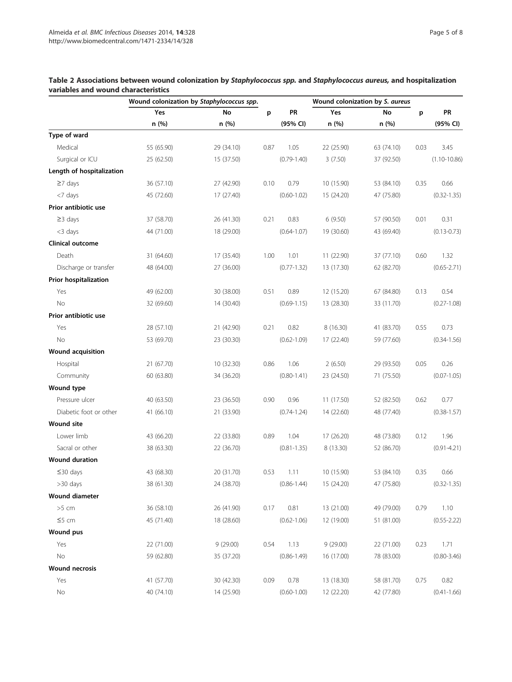|                           | Wound colonization by Staphylococcus spp. |            |      |                 | Wound colonization by S. aureus |            |      |                  |
|---------------------------|-------------------------------------------|------------|------|-----------------|---------------------------------|------------|------|------------------|
|                           | Yes                                       | No         | p    | PR              | Yes                             | No         | p    | PR               |
|                           | n (%)                                     | n (%)      |      | (95% CI)        | n (%)                           | n (%)      |      | (95% CI)         |
| Type of ward              |                                           |            |      |                 |                                 |            |      |                  |
| Medical                   | 55 (65.90)                                | 29 (34.10) | 0.87 | 1.05            | 22 (25.90)                      | 63 (74.10) | 0.03 | 3.45             |
| Surgical or ICU           | 25 (62.50)                                | 15 (37.50) |      | $(0.79 - 1.40)$ | 3(7.50)                         | 37 (92.50) |      | $(1.10 - 10.86)$ |
| Length of hospitalization |                                           |            |      |                 |                                 |            |      |                  |
| $\geq$ 7 days             | 36 (57.10)                                | 27 (42.90) | 0.10 | 0.79            | 10 (15.90)                      | 53 (84.10) | 0.35 | 0.66             |
| <7 days                   | 45 (72.60)                                | 17 (27.40) |      | $(0.60 - 1.02)$ | 15 (24.20)                      | 47 (75.80) |      | $(0.32 - 1.35)$  |
| Prior antibiotic use      |                                           |            |      |                 |                                 |            |      |                  |
| $\geq$ 3 days             | 37 (58.70)                                | 26 (41.30) | 0.21 | 0.83            | 6(9.50)                         | 57 (90.50) | 0.01 | 0.31             |
| <3 days                   | 44 (71.00)                                | 18 (29.00) |      | $(0.64 - 1.07)$ | 19 (30.60)                      | 43 (69.40) |      | $(0.13 - 0.73)$  |
| <b>Clinical outcome</b>   |                                           |            |      |                 |                                 |            |      |                  |
| Death                     | 31 (64.60)                                | 17 (35.40) | 1.00 | 1.01            | 11 (22.90)                      | 37 (77.10) | 0.60 | 1.32             |
| Discharge or transfer     | 48 (64.00)                                | 27 (36.00) |      | $(0.77 - 1.32)$ | 13 (17.30)                      | 62 (82.70) |      | $(0.65 - 2.71)$  |
| Prior hospitalization     |                                           |            |      |                 |                                 |            |      |                  |
| Yes                       | 49 (62.00)                                | 30 (38.00) | 0.51 | 0.89            | 12 (15.20)                      | 67 (84.80) | 0.13 | 0.54             |
| No                        | 32 (69.60)                                | 14 (30.40) |      | $(0.69 - 1.15)$ | 13 (28.30)                      | 33 (11.70) |      | $(0.27 - 1.08)$  |
| Prior antibiotic use      |                                           |            |      |                 |                                 |            |      |                  |
| Yes                       | 28 (57.10)                                | 21 (42.90) | 0.21 | 0.82            | 8 (16.30)                       | 41 (83.70) | 0.55 | 0.73             |
| No                        | 53 (69.70)                                | 23 (30.30) |      | $(0.62 - 1.09)$ | 17 (22.40)                      | 59 (77.60) |      | $(0.34 - 1.56)$  |
| <b>Wound acquisition</b>  |                                           |            |      |                 |                                 |            |      |                  |
| Hospital                  | 21 (67.70)                                | 10 (32.30) | 0.86 | 1.06            | 2(6.50)                         | 29 (93.50) | 0.05 | 0.26             |
| Community                 | 60 (63.80)                                | 34 (36.20) |      | $(0.80 - 1.41)$ | 23 (24.50)                      | 71 (75.50) |      | $(0.07 - 1.05)$  |
| Wound type                |                                           |            |      |                 |                                 |            |      |                  |
| Pressure ulcer            | 40 (63.50)                                | 23 (36.50) | 0.90 | 0.96            | 11 (17.50)                      | 52 (82.50) | 0.62 | 0.77             |
| Diabetic foot or other    | 41 (66.10)                                | 21 (33.90) |      | $(0.74 - 1.24)$ | 14 (22.60)                      | 48 (77.40) |      | $(0.38 - 1.57)$  |
| <b>Wound site</b>         |                                           |            |      |                 |                                 |            |      |                  |
| Lower limb                | 43 (66.20)                                | 22 (33.80) | 0.89 | 1.04            | 17 (26.20)                      | 48 (73.80) | 0.12 | 1.96             |
| Sacral or other           | 38 (63.30)                                | 22 (36.70) |      | $(0.81 - 1.35)$ | 8 (13.30)                       | 52 (86.70) |      | $(0.91 - 4.21)$  |
| <b>Wound duration</b>     |                                           |            |      |                 |                                 |            |      |                  |
| $\leq$ 30 days            | 43 (68.30)                                | 20 (31.70) | 0.53 | 1.11            | 10 (15.90)                      | 53 (84.10) | 0.35 | 0.66             |
| >30 days                  | 38 (61.30)                                | 24 (38.70) |      | $(0.86 - 1.44)$ | 15 (24.20)                      | 47 (75.80) |      | $(0.32 - 1.35)$  |
| Wound diameter            |                                           |            |      |                 |                                 |            |      |                  |
| $>5$ cm                   | 36 (58.10)                                | 26 (41.90) | 0.17 | 0.81            | 13 (21.00)                      | 49 (79.00) | 0.79 | 1.10             |
| $55$ cm                   | 45 (71.40)                                | 18 (28.60) |      | $(0.62 - 1.06)$ | 12 (19.00)                      | 51 (81.00) |      | $(0.55 - 2.22)$  |
| <b>Wound pus</b>          |                                           |            |      |                 |                                 |            |      |                  |
| Yes                       | 22 (71.00)                                | 9(29.00)   | 0.54 | 1.13            | 9(29.00)                        | 22 (71.00) | 0.23 | 1.71             |
| No                        | 59 (62.80)                                | 35 (37.20) |      | $(0.86 - 1.49)$ | 16 (17.00)                      | 78 (83.00) |      | $(0.80 - 3.46)$  |
| <b>Wound necrosis</b>     |                                           |            |      |                 |                                 |            |      |                  |
| Yes                       | 41 (57.70)                                | 30 (42.30) | 0.09 | 0.78            | 13 (18.30)                      | 58 (81.70) | 0.75 | 0.82             |
| $\rm No$                  | 40 (74.10)                                | 14 (25.90) |      | $(0.60 - 1.00)$ | 12 (22.20)                      | 42 (77.80) |      | $(0.41 - 1.66)$  |

Table 2 Associations between wound colonization by Staphylococcus spp. and Staphylococcus aureus, and hospitalization variables and wound characteristics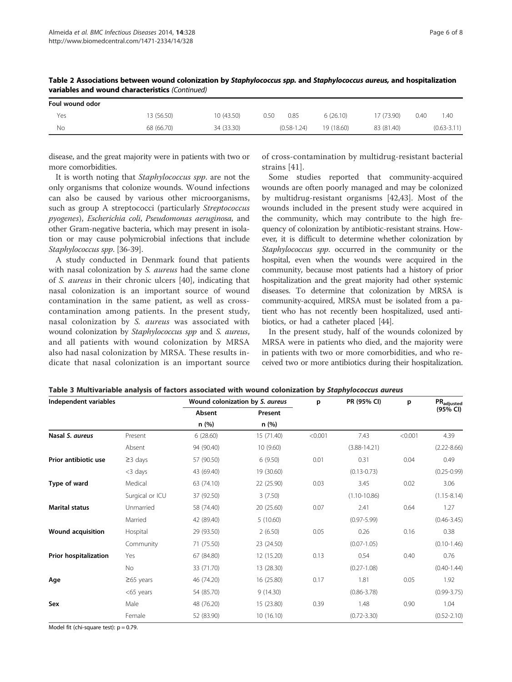| Foul wound odor |            |            |                 |            |            |      |                 |
|-----------------|------------|------------|-----------------|------------|------------|------|-----------------|
| Yes             | 13 (56.50) | 10(43.50)  | 0.85<br>0.50    | 6(26.10)   | 17 (73.90) | 0.40 | 40. ا           |
| No              | 68 (66.70) | 34 (33.30) | $(0.58 - 1.24)$ | 19 (18.60) | 83 (81.40) |      | $(0.63 - 3.11)$ |

Table 2 Associations between wound colonization by Staphylococcus spp. and Staphylococcus aureus, and hospitalization variables and wound characteristics (Continued)

disease, and the great majority were in patients with two or more comorbidities.

It is worth noting that Staphylococcus spp. are not the only organisms that colonize wounds. Wound infections can also be caused by various other microorganisms, such as group A streptococci (particularly Streptococcus pyogenes), Escherichia coli, Pseudomonas aeruginosa, and other Gram-negative bacteria, which may present in isolation or may cause polymicrobial infections that include Staphylococcus spp. [36-39].

A study conducted in Denmark found that patients with nasal colonization by S. aureus had the same clone of S. aureus in their chronic ulcers [40], indicating that nasal colonization is an important source of wound contamination in the same patient, as well as crosscontamination among patients. In the present study, nasal colonization by S. aureus was associated with wound colonization by Staphylococcus spp and S. aureus, and all patients with wound colonization by MRSA also had nasal colonization by MRSA. These results indicate that nasal colonization is an important source

of cross-contamination by multidrug-resistant bacterial strains [41].

Some studies reported that community-acquired wounds are often poorly managed and may be colonized by multidrug-resistant organisms [42,43]. Most of the wounds included in the present study were acquired in the community, which may contribute to the high frequency of colonization by antibiotic-resistant strains. However, it is difficult to determine whether colonization by Staphylococcus spp. occurred in the community or the hospital, even when the wounds were acquired in the community, because most patients had a history of prior hospitalization and the great majority had other systemic diseases. To determine that colonization by MRSA is community-acquired, MRSA must be isolated from a patient who has not recently been hospitalized, used antibiotics, or had a catheter placed [44].

In the present study, half of the wounds colonized by MRSA were in patients who died, and the majority were in patients with two or more comorbidities, and who received two or more antibiotics during their hospitalization.

| Independent variables    |                 | Wound colonization by S. aureus |            | p       | PR (95% CI)      | p       | $PR_{adjusted}$ |
|--------------------------|-----------------|---------------------------------|------------|---------|------------------|---------|-----------------|
|                          |                 | Absent                          | Present    |         |                  |         | (95% CI)        |
|                          |                 | n(%)                            | n(%)       |         |                  |         |                 |
| Nasal S. aureus          | Present         | 6(28.60)                        | 15 (71.40) | < 0.001 | 7.43             | < 0.001 | 4.39            |
|                          | Absent          | 94 (90.40)                      | 10(9.60)   |         | $(3.88 - 14.21)$ |         | $(2.22 - 8.66)$ |
| Prior antibiotic use     | $\geq$ 3 days   | 57 (90.50)                      | 6(9.50)    | 0.01    | 0.31             | 0.04    | 0.49            |
|                          | $<$ 3 days      | 43 (69.40)                      | 19 (30.60) |         | $(0.13 - 0.73)$  |         | $(0.25 - 0.99)$ |
| Type of ward             | Medical         | 63 (74.10)                      | 22 (25.90) | 0.03    | 3.45             | 0.02    | 3.06            |
|                          | Surgical or ICU | 37 (92.50)                      | 3(7.50)    |         | $(1.10 - 10.86)$ |         | $(1.15 - 8.14)$ |
| <b>Marital status</b>    | Unmarried       | 58 (74.40)                      | 20 (25.60) | 0.07    | 2.41             | 0.64    | 1.27            |
|                          | Married         | 42 (89.40)                      | 5(10.60)   |         | $(0.97 - 5.99)$  |         | $(0.46 - 3.45)$ |
| <b>Wound acquisition</b> | Hospital        | 29 (93.50)                      | 2(6.50)    | 0.05    | 0.26             | 0.16    | 0.38            |
|                          | Community       | 71 (75.50)                      | 23 (24.50) |         | $(0.07 - 1.05)$  |         | $(0.10 - 1.46)$ |
| Prior hospitalization    | Yes             | 67 (84.80)                      | 12 (15.20) | 0.13    | 0.54             | 0.40    | 0.76            |
|                          | No              | 33 (71.70)                      | 13 (28.30) |         | $(0.27 - 1.08)$  |         | $(0.40 - 1.44)$ |
| Age                      | $\geq$ 65 years | 46 (74.20)                      | 16(25.80)  | 0.17    | 1.81             | 0.05    | 1.92            |
|                          | $<$ 65 years    | 54 (85.70)                      | 9(14.30)   |         | $(0.86 - 3.78)$  |         | $(0.99 - 3.75)$ |
| Sex                      | Male            | 48 (76.20)                      | 15 (23.80) | 0.39    | 1.48             | 0.90    | 1.04            |
|                          | Female          | 52 (83.90)                      | 10(16.10)  |         | $(0.72 - 3.30)$  |         | $(0.52 - 2.10)$ |

Table 3 Multivariable analysis of factors associated with wound colonization by Staphylococcus aureus

Model fit (chi-square test):  $p = 0.79$ .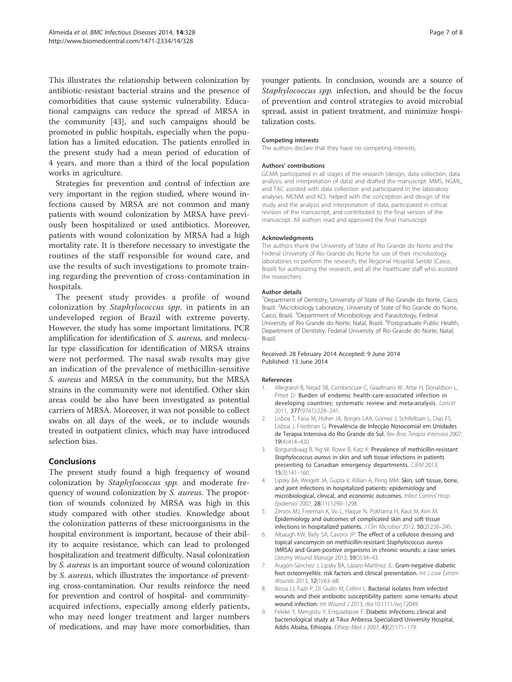This illustrates the relationship between colonization by antibiotic-resistant bacterial strains and the presence of comorbidities that cause systemic vulnerability. Educational campaigns can reduce the spread of MRSA in the community [43], and such campaigns should be promoted in public hospitals, especially when the population has a limited education. The patients enrolled in the present study had a mean period of education of 4 years, and more than a third of the local population works in agriculture.

Strategies for prevention and control of infection are very important in the region studied, where wound infections caused by MRSA are not common and many patients with wound colonization by MRSA have previously been hospitalized or used antibiotics. Moreover, patients with wound colonization by MRSA had a high mortality rate. It is therefore necessary to investigate the routines of the staff responsible for wound care, and use the results of such investigations to promote training regarding the prevention of cross-contamination in hospitals.

The present study provides a profile of wound colonization by Staphylococcus spp. in patients in an undeveloped region of Brazil with extreme poverty. However, the study has some important limitations. PCR amplification for identification of S. aureus, and molecular type classification for identification of MRSA strains were not performed. The nasal swab results may give an indication of the prevalence of methicillin-sensitive S. aureus and MRSA in the community, but the MRSA strains in the community were not identified. Other skin areas could be also have been investigated as potential carriers of MRSA. Moreover, it was not possible to collect swabs on all days of the week, or to include wounds treated in outpatient clinics, which may have introduced selection bias.

# Conclusions

The present study found a high frequency of wound colonization by Staphylococcus spp. and moderate frequency of wound colonization by *S. aureus*. The proportion of wounds colonized by MRSA was high in this study compared with other studies. Knowledge about the colonization patterns of these microorganisms in the hospital environment is important, because of their ability to acquire resistance, which can lead to prolonged hospitalization and treatment difficulty. Nasal colonization by S. aureus is an important source of wound colonization by *S. aureus*, which illustrates the importance of preventing cross-contamination. Our results reinforce the need for prevention and control of hospital- and communityacquired infections, especially among elderly patients, who may need longer treatment and larger numbers of medications, and may have more comorbidities, than younger patients. In conclusion, wounds are a source of Staphylococcus spp. infection, and should be the focus of prevention and control strategies to avoid microbial spread, assist in patient treatment, and minimize hospitalization costs.

#### Competing interests

The authors declare that they have no competing interests.

#### Authors' contributions

GCMA participated in all stages of the research (design, data collection, data analysis, and interpretation of data) and drafted the manuscript. MMS, NGML, and TAC assisted with data collection and participated in the laboratory analyses. MCNM and KCL helped with the conception and design of the study and the analysis and interpretation of data, participated in critical revision of the manuscript, and contributed to the final version of the manuscript. All authors read and approved the final manuscript.

#### Acknowledgments

The authors thank the University of State of Rio Grande do Norte and the Federal University of Rio Grande do Norte for use of their microbiology laboratories to perform the research, the Regional Hospital Seridó (Caico, Brazil) for authorizing the research, and all the healthcare staff who assisted the researchers.

#### Author details

<sup>1</sup>Department of Dentistry, University of State of Rio Grande do Norte, Caico Brazil. <sup>2</sup>Microbiology Laboratory, University of State of Rio Grande do Norte Caico, Brazil. <sup>3</sup>Department of Microbiology and Parasitology, Federal University of Rio Grande do Norte, Natal, Brazil. <sup>4</sup>Postgraduate Public Health Department of Dentistry, Federal University of Rio Grande do Norte, Natal, Brazil.

#### Received: 28 February 2014 Accepted: 9 June 2014 Published: 13 June 2014

#### References

- 1. Allegranzi B, Nejad SB, Combescure C, Graafmans W, Attar H, Donaldson L, Pittet D: Burden of endemic health-care-associated infection in developing countries: systematic review and meta-analysis. Lancet 2011, 377(9761):228–241.
- 2. Lisboa T, Faria M, Hoher JA, Borges LAA, Gómez J, Schifelbain L, Dias FS, Lisboa J, Friedman G: Prevalência de Infecção Nosocomial em Unidades de Terapia Intensiva do Rio Grande do Sul. Rev Bras Terapia Intensiva 2007, 19(4):414–420.
- 3. Borgundvaag B, Ng W, Rowe B, Katz K: Prevalence of methicillin-resistant Staphylococcus aureus in skin and soft tissue infections in patients presenting to Canadian emergency departments. CJEM 2013, 15(3):141–160.
- 4. Lipsky BA, Weigelt JA, Gupta V, Killian A, Peng MM: Skin, soft tissue, bone, and joint infections in hospitalized patients: epidemiology and microbiological, clinical, and economic outcomes. Infect Control Hosp Epidemiol 2007, 28(11):1290–1298.
- 5. Zervos MJ, Freeman K, Vo L, Haque N, Pokharna H, Raut M, Kim M: Epidemiology and outcomes of complicated skin and soft tissue infections in hospitalized patients. J Clin Microbiol 2012, 50(2):238–245.
- 6. Albaugh KW, Biely SA, Cavorsi JP: The effect of a cellulose dressing and topical vancomycin on methicillin-resistant Staphylococcus aureus (MRSA) and Gram-positive organisms in chronic wounds: a case series. Ostomy Wound Manage 2013, 59(5):34–43.
- 7. Aragón-Sánchez J, Lipsky BA, Lázaro-Martínez JL: Gram-negative diabetic foot osteomyelitis: risk factors and clinical presentation. Int J Low Extrem Wounds 2013, 12(1):63–68.
- 8. Bessa LJ, Fazii P, Di Giulio M, Cellini L: Bacterial isolates from infected wounds and their antibiotic susceptibility pattern: some remarks about wound infection. Int Wound J 2013, doi:10.1111/iwj.12049.
- 9. Feleke Y, Mengistu Y, Enguselassie F: Diabetic infections: clinical and bacteriological study at Tikur Anbessa Specialized University Hospital, Addis Ababa, Ethiopia. Ethiop Med J 2007, 45(2):171–179.